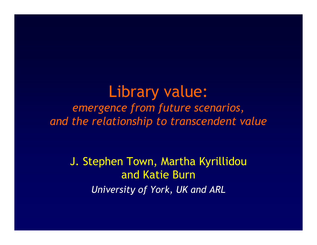### Library value: *emergence from future scenarios,and the relationship to transcendent value*

J. Stephen Town, Martha Kyrillidou and Katie Burn*University of York, UK and ARL*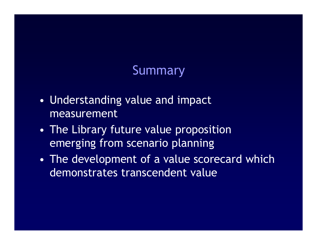#### Summary

- • Understanding value and impact measurement
- • The Library future value proposition emerging from scenario planning
- •The development of a value scorecard which demonstrates transcendent value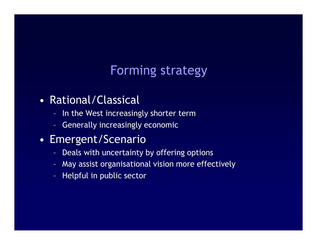### Forming strategy

#### •Rational/Classical

- In the West increasingly shorter term
- –Generally increasingly economic

#### •Emergent/Scenario

- $\mathcal{L}_{\mathcal{A}}$ Deals with uncertainty by offering options
- –May assist organisational vision more effectively
- $\sim$ Helpful in public sector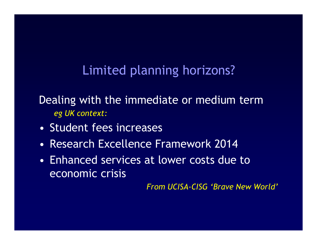### Limited planning horizons?

Dealing with the immediate or medium term*eg UK context:*

- •Student fees increases
- •Research Excellence Framework 2014
- • Enhanced services at lower costs due to economic crisis

*From UCISA-CISG 'Brave New World'*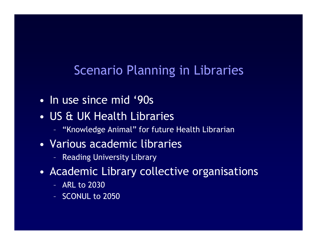#### Scenario Planning in Libraries

- •In use since mid '90s
- • US & UK Health Libraries
	- $\sim$ "Knowledge Animal" for future Health Librarian
- • Various academic libraries
	- –Reading University Library
- • Academic Library collective organisations
	- $\mathcal{L}_{\mathcal{A}}$ ARL to 2030
	- –SCONUL to 2050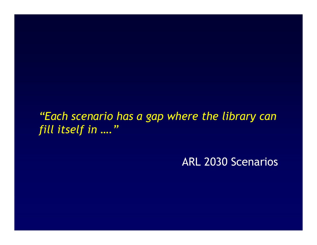#### *"Each scenario has a gap where the library can fill itself in …."*

ARL 2030 Scenarios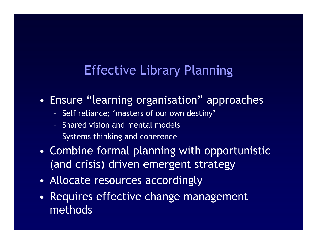#### Effective Library Planning

- • Ensure "learning organisation" approaches
	- –Self reliance; 'masters of our own destiny'
	- –Shared vision and mental models
	- $\sim$ Systems thinking and coherence
- • Combine formal planning with opportunistic (and crisis) driven emergent strategy
- •Allocate resources accordingly
- • Requires effective change management methods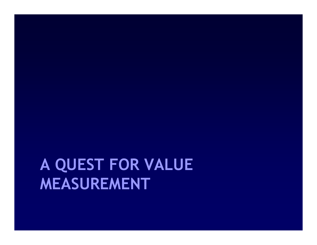## **A QUEST FOR VALUE MEASUREMENT**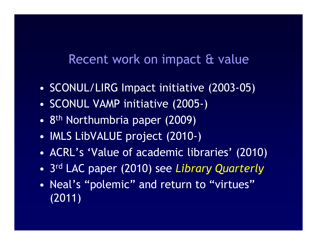#### Recent work on impact & value

- •SCONUL/LIRG Impact initiative (2003-05)
- •SCONUL VAMP initiative (2005-)
- •<sup>8</sup>th Northumbria paper (2009)
- •IMLS LibVALUE project (2010-)
- •ACRL's 'Value of academic libraries' (2010)
- •<sup>3</sup>rd LAC paper (2010) see *Library Quarterly*
- • Neal's "polemic" and return to "virtues" (2011)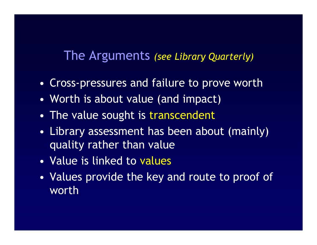#### The Arguments *(see Library Quarterly)*

- •Cross-pressures and failure to prove worth
- •Worth is about value (and impact)
- •The value sought is transcendent
- •Library assessment has been about (mainly) quality rather than value
- •Value is linked to values
- • Values provide the key and route to proof of worth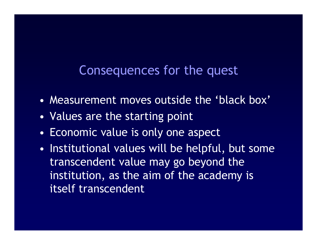#### Consequences for the quest

- •Measurement moves outside the 'black box'
- •Values are the starting point
- •Economic value is only one aspect
- • Institutional values will be helpful, but some transcendent value may go beyond the institution, as the aim of the academy is itself transcendent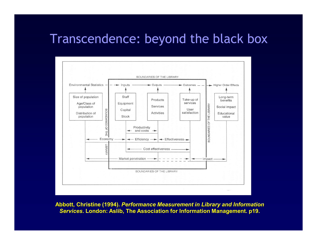#### Transcendence: beyond the black box



**Abbott, Christine (1994).** *Performance Measurement in Library and Information Services***. London: Aslib, The Association for Information Management. p19.**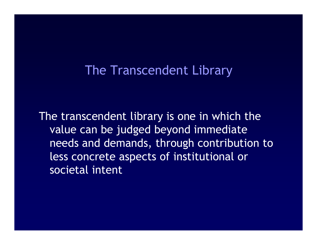#### The Transcendent Library

The transcendent library is one in which the value can be judged beyond immediate needs and demands, through contribution to less concrete aspects of institutional or societal intent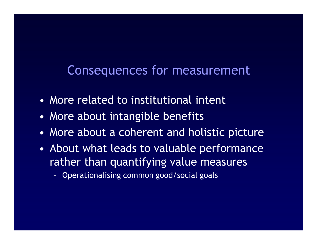#### Consequences for measurement

- •More related to institutional intent
- •More about intangible benefits
- •More about a coherent and holistic picture
- • About what leads to valuable performance rather than quantifying value measures
	- $\mathcal{L}_{\mathcal{A}}$ Operationalising common good/social goals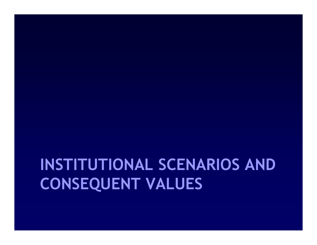## **INSTITUTIONAL SCENARIOS AND CONSEQUENT VALUES**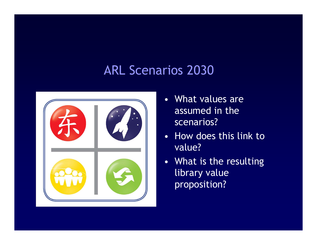### ARL Scenarios 2030



- What values are assumed in the scenarios?
- How does this link to value?
- What is the resulting library value proposition?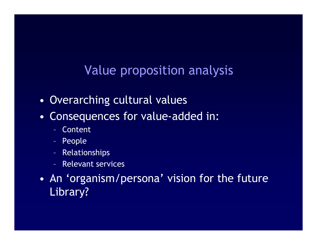### Value proposition analysis

- •Overarching cultural values
- • Consequences for value-added in:
	- $\sim$ Content
	- $\mathcal{L}_{\mathcal{A}}$ People
	- $\mathcal{L}_{\mathcal{A}}$ Relationships
	- –Relevant services
- • An 'organism/persona' vision for the future Library?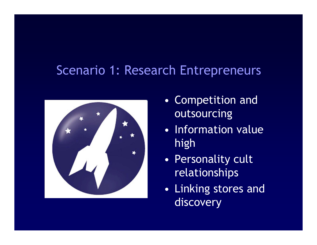#### Scenario 1: Research Entrepreneurs



- • Competition and outsourcing
- • Information value high
- • Personality cult relationships
- $\bullet$  Linking stores and discovery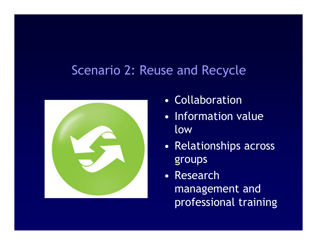#### Scenario 2: Reuse and Recycle



- •Collaboration
- $\bullet$  Information value low
- Re Relationships across groups
- • Research management and professional training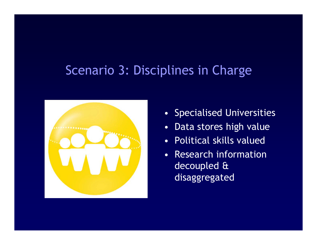#### Scenario 3: Disciplines in Charge



- Specialised Universities
- •Data stores high value
- •Political skills valued
- Research information decoupled & disaggregated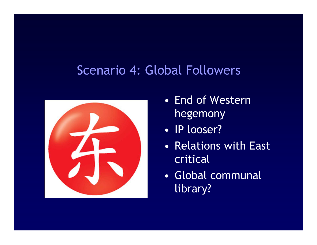#### Scenario 4: Global Followers



- • End of Western hegemony
- •IP looser?
- $\bullet$  Relations with East critical
- • Global communal library?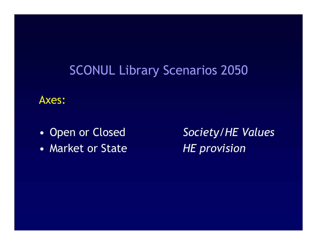### SCONUL Library Scenarios 2050

#### Axes:

- •Open or Closed
- •Market or State

 *Society/HE Values HE provision*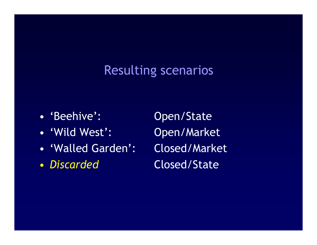#### Resulting scenarios

- 'Beehive':
- 'Wild West':
- •
- $\bullet$ *Discarded*

Open/State Open/Market 'Walled Garden': Closed/Market Closed/State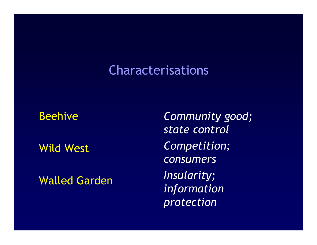#### Characterisations

#### Beehive

Wild West

Walled Garden

*Community good; state controlCompetition; consumersInsularity; information protection*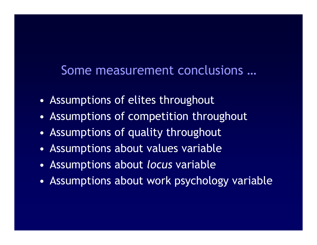#### Some measurement conclusions …

- •Assumptions of elites throughout
- •Assumptions of competition throughout
- •Assumptions of quality throughout
- •Assumptions about values variable
- •Assumptions about *locus* variable
- •Assumptions about work psychology variable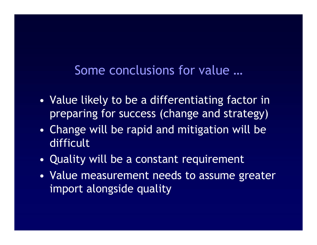#### Some conclusions for value …

- • Value likely to be a differentiating factor in preparing for success (change and strategy)
- • Change will be rapid and mitigation will be difficult
- •Quality will be a constant requirement
- • Value measurement needs to assume greater import alongside quality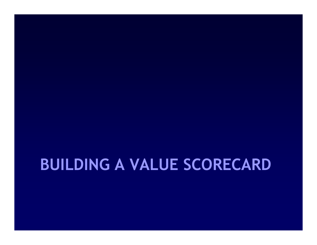### **BUILDING A VALUE SCORECARD**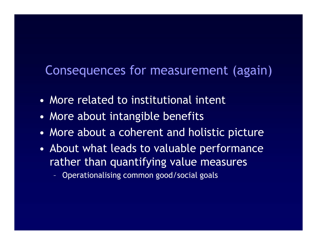#### Consequences for measurement (again)

- •More related to institutional intent
- •More about intangible benefits
- •More about a coherent and holistic picture
- • About what leads to valuable performance rather than quantifying value measures
	- $\mathcal{L}_{\mathcal{A}}$ Operationalising common good/social goals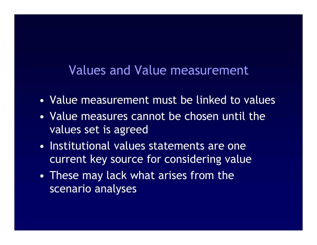#### Values and Value measurement

- •Value measurement must be linked to values
- • Value measures cannot be chosen until the values set is agreed
- • Institutional values statements are one current key source for considering value
- • These may lack what arises from the scenario analyses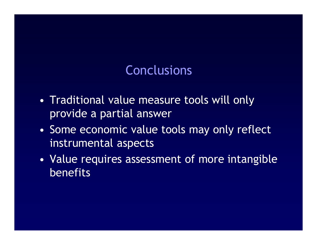#### **Conclusions**

- • Traditional value measure tools will only provide a partial answer
- • Some economic value tools may only reflect instrumental aspects
- • Value requires assessment of more intangible benefits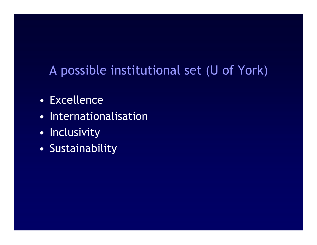### A possible institutional set (U of York)

- •Excellence
- •Internationalisation
- •**Inclusivity**
- •Sustainability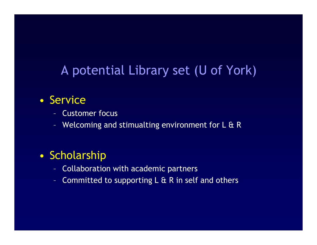#### A potential Library set (U of York)

#### $\bullet$ **Service**

- Customer focus –
- –Welcoming and stimualting environment for L & R

#### $\bullet$ Scholarship

- $\sim$ Collaboration with academic partners
- Committed to supporting  $L \& R$  in self and others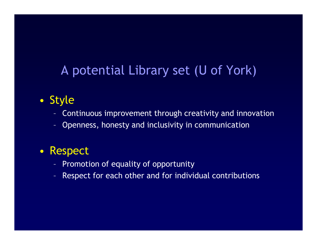### A potential Library set (U of York)

#### $\bullet$ Style

- Continuous improvement through creativity and innovation
- Openness, honesty and inclusivity in communication

#### $\bullet$ Respect

- –Promotion of equality of opportunity
- Respect for each other and for individual contributions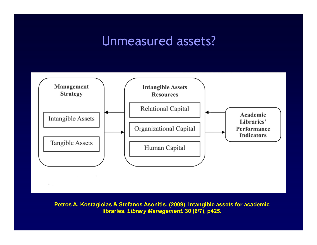#### Unmeasured assets?



**Petros A. Kostagiolas & Stefanos Asonitis. (2009). Intangible assets for academic libraries.** *Library Management***. 30 (6/7), p425.**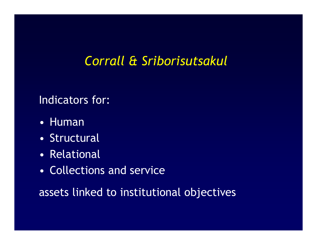### *Corrall & Sriborisutsakul*

#### Indicators for:

- •Human
- •**Structural**
- •Relational
- •Collections and service

assets linked to institutional objectives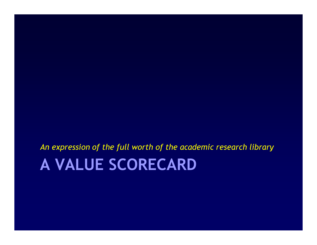# **A VALUE SCORECARD**

*An expression of the full worth of the academic research library*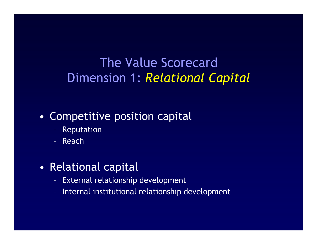### The Value ScorecardDimension 1: *Relational Capital*

#### •Competitive position capital

- $\sim$ Reputation
- $\mathcal{L}_{\mathcal{A}}$ Reach
- • Relational capital
	- $\sim$ External relationship development
	- $\mathcal{L}_{\mathcal{A}}$ Internal institutional relationship development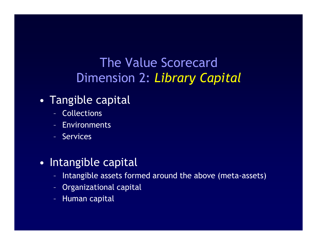### The Value ScorecardDimension 2: *Library Capital*

#### •Tangible capital

- –Collections
- –Environments
- $\sim$ Services

#### •Intangible capital

- $\sim$ Intangible assets formed around the above (meta-assets)
- $\sim$ Organizational capital
- $\mathcal{L}_{\mathcal{A}}$ Human capital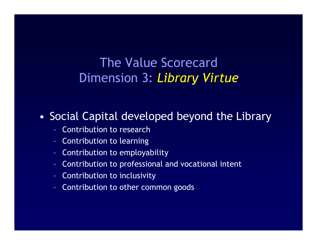### The Value ScorecardDimension 3: *Library Virtue*

#### •Social Capital developed beyond the Library

- $\sim$ Contribution to research
- $\mathcal{L}_{\mathcal{A}}$ Contribution to learning
- $\mathcal{L}_{\mathcal{A}}$ Contribution to employability
- –Contribution to professional and vocational intent
- $\sim$ Contribution to inclusivity
- $\sim$ Contribution to other common goods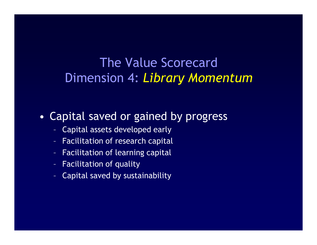#### The Value ScorecardDimension 4: *Library Momentum*

#### •Capital saved or gained by progress

- $\sim$ Capital assets developed early
- $\mathcal{L}_{\mathcal{A}}$ Facilitation of research capital
- $\mathcal{L}_{\mathcal{A}}$ Facilitation of learning capital
- –Facilitation of quality
- $\sim$ Capital saved by sustainability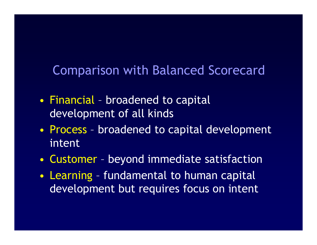#### Comparison with Balanced Scorecard

- $\bullet$  Financial – broadened to capital development of all kinds
- $\bullet$  Process – broadened to capital development intent
- $\bullet$ Customer – beyond immediate satisfaction
- $\bullet$  Learning – fundamental to human capital development but requires focus on intent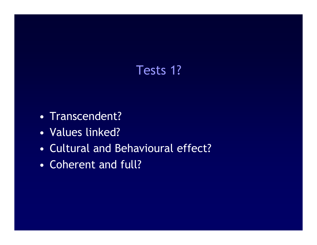### Tests 1?

- •Transcendent?
- •Values linked?
- •Cultural and Behavioural effect?
- •Coherent and full?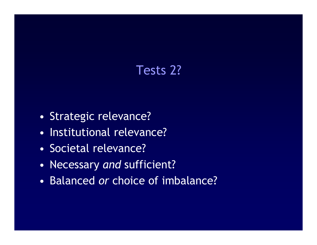### Tests 2?

- •Strategic relevance?
- •Institutional relevance?
- •Societal relevance?
- •Necessary *and* sufficient?
- •Balanced *or* choice of imbalance?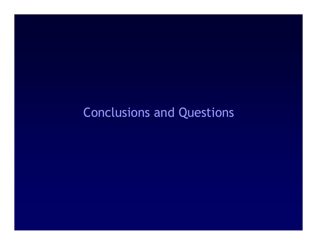### Conclusions and Questions